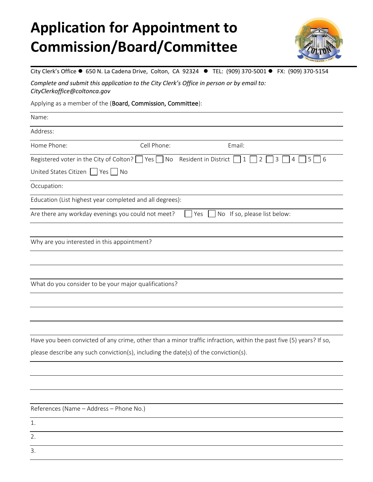## **Application for Appointment to Commission/Board/Committee**



City Clerk's Office ● 650 N. La Cadena Drive, Colton, CA 92324 ● TEL: (909) 370-5001 ● FX: (909) 370-5154

*Complete and submit this application to the City Clerk's Office in person or by email to: CityClerkoffice@coltonca.gov*

Applying as a member of the (Board, Commission, Committee):

| Name:                                                                               |               |                                                                                                                     |
|-------------------------------------------------------------------------------------|---------------|---------------------------------------------------------------------------------------------------------------------|
| Address:                                                                            |               |                                                                                                                     |
| Home Phone:                                                                         | Cell Phone:   | Email:                                                                                                              |
| Registered voter in the City of Colton?                                             | $ $ Yes<br>No | Resident in District<br>$\mathsf{3}$<br>5<br>$6\overline{6}$<br>$\mathbf{1}$<br>2<br>4                              |
| United States Citizen   Yes   No                                                    |               |                                                                                                                     |
| Occupation:                                                                         |               |                                                                                                                     |
| Education (List highest year completed and all degrees):                            |               |                                                                                                                     |
| Are there any workday evenings you could not meet?                                  |               | No If so, please list below:<br>Yes                                                                                 |
|                                                                                     |               |                                                                                                                     |
| Why are you interested in this appointment?                                         |               |                                                                                                                     |
|                                                                                     |               |                                                                                                                     |
|                                                                                     |               |                                                                                                                     |
| What do you consider to be your major qualifications?                               |               |                                                                                                                     |
|                                                                                     |               |                                                                                                                     |
|                                                                                     |               |                                                                                                                     |
|                                                                                     |               |                                                                                                                     |
|                                                                                     |               | Have you been convicted of any crime, other than a minor traffic infraction, within the past five (5) years? If so, |
| please describe any such conviction(s), including the date(s) of the conviction(s). |               |                                                                                                                     |
|                                                                                     |               |                                                                                                                     |
|                                                                                     |               |                                                                                                                     |
|                                                                                     |               |                                                                                                                     |
| References (Name - Address - Phone No.)                                             |               |                                                                                                                     |
| 1.                                                                                  |               |                                                                                                                     |

2.

3.